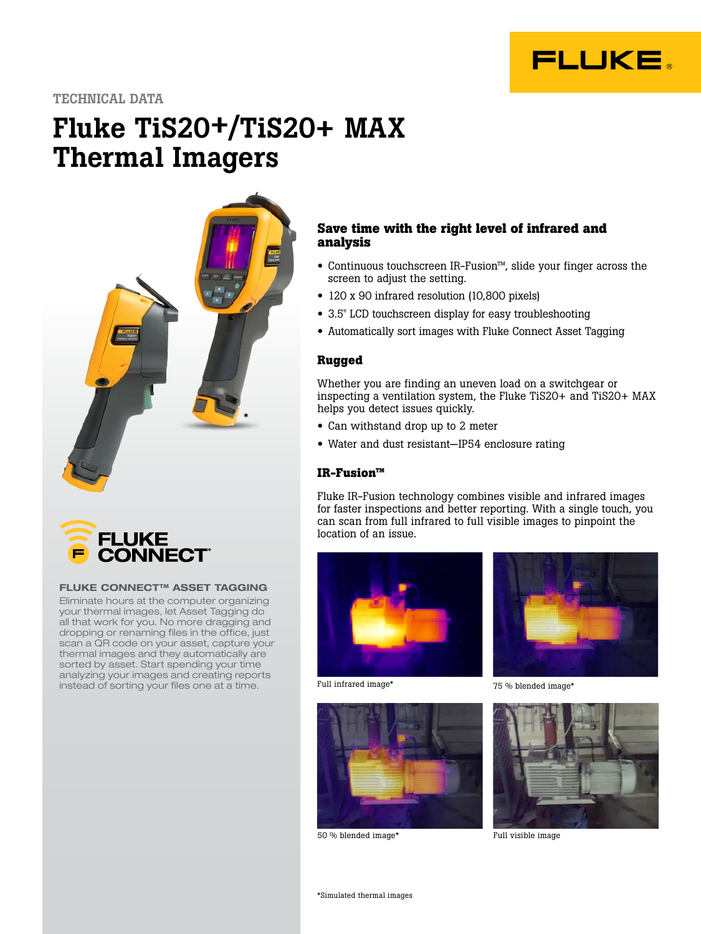

TECHNICAL DATA

# Fluke TiS20+/TiS20+ MAX Thermal Imagers





#### FLUKE CONNECT™ ASSET TAGGING

Eliminate hours at the computer organizing your thermal images, let Asset Tagging do all that work for you. No more dragging and dropping or renaming files in the office, just scan a QR code on your asset, capture your thermal images and they automatically are sorted by asset. Start spending your time analyzing your images and creating reports instead of sorting your files one at a time.

# **Save time with the right level of infrared and analysis**

- Continuous touchscreen IR-Fusion™, slide your finger across the screen to adjust the setting.
- 120 x 90 infrared resolution (10,800 pixels)
- 3.5" LCD touchscreen display for easy troubleshooting
- Automatically sort images with Fluke Connect Asset Tagging

# **Rugged**

Whether you are finding an uneven load on a switchgear or inspecting a ventilation system, the Fluke TiS20+ and TiS20+ MAX helps you detect issues quickly.

- Can withstand drop up to 2 meter
- Water and dust resistant—IP54 enclosure rating

## **IR-Fusion™**

Fluke IR-Fusion technology combines visible and infrared images for faster inspections and better reporting. With a single touch, you can scan from full infrared to full visible images to pinpoint the location of an issue.



Full infrared image\*



50 % blended image\* Full visible image



75 % blended image\*

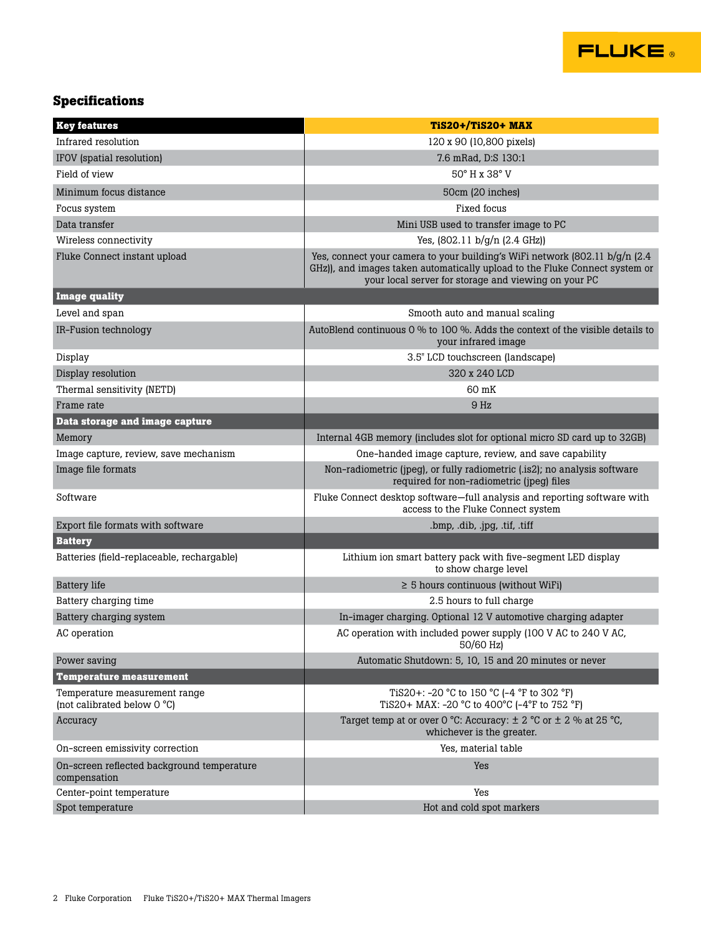

# **Specifications**

| <b>Key features</b>                                          | <b>TiS20+/TiS20+ MAX</b>                                                                                                                                                                                            |
|--------------------------------------------------------------|---------------------------------------------------------------------------------------------------------------------------------------------------------------------------------------------------------------------|
| Infrared resolution                                          | 120 x 90 (10,800 pixels)                                                                                                                                                                                            |
| IFOV (spatial resolution)                                    | 7.6 mRad, D:S 130:1                                                                                                                                                                                                 |
| Field of view                                                | 50° H x 38° V                                                                                                                                                                                                       |
| Minimum focus distance                                       | 50cm (20 inches)                                                                                                                                                                                                    |
| Focus system                                                 | Fixed focus                                                                                                                                                                                                         |
| Data transfer                                                | Mini USB used to transfer image to PC                                                                                                                                                                               |
| Wireless connectivity                                        | Yes, $(802.11 b/q/n (2.4 GHz))$                                                                                                                                                                                     |
| Fluke Connect instant upload                                 | Yes, connect your camera to your building's WiFi network (802.11 b/g/n (2.4)<br>GHz)), and images taken automatically upload to the Fluke Connect system or<br>your local server for storage and viewing on your PC |
| <b>Image quality</b>                                         |                                                                                                                                                                                                                     |
| Level and span                                               | Smooth auto and manual scaling                                                                                                                                                                                      |
| IR-Fusion technology                                         | AutoBlend continuous 0 % to 100 %. Adds the context of the visible details to<br>your infrared image                                                                                                                |
| Display                                                      | 3.5" LCD touchscreen (landscape)                                                                                                                                                                                    |
| Display resolution                                           | 320 x 240 LCD                                                                                                                                                                                                       |
| Thermal sensitivity (NETD)                                   | 60 mK                                                                                                                                                                                                               |
| Frame rate                                                   | 9 <sub>Hz</sub>                                                                                                                                                                                                     |
| Data storage and image capture                               |                                                                                                                                                                                                                     |
| Memory                                                       | Internal 4GB memory (includes slot for optional micro SD card up to 32GB)                                                                                                                                           |
| Image capture, review, save mechanism                        | One-handed image capture, review, and save capability                                                                                                                                                               |
| Image file formats                                           | Non-radiometric (jpeg), or fully radiometric (.is2); no analysis software<br>required for non-radiometric (jpeg) files                                                                                              |
| Software                                                     | Fluke Connect desktop software—full analysis and reporting software with<br>access to the Fluke Connect system                                                                                                      |
| Export file formats with software                            | .bmp, .dib, .jpg, .tif, .tiff                                                                                                                                                                                       |
| <b>Battery</b>                                               |                                                                                                                                                                                                                     |
| Batteries (field-replaceable, rechargable)                   | Lithium ion smart battery pack with five-segment LED display<br>to show charge level                                                                                                                                |
| <b>Battery</b> life                                          | $\geq$ 5 hours continuous (without WiFi)                                                                                                                                                                            |
| Battery charging time                                        | 2.5 hours to full charge                                                                                                                                                                                            |
| Battery charging system                                      | In-imager charging. Optional 12 V automotive charging adapter                                                                                                                                                       |
| AC operation                                                 | AC operation with included power supply (100 V AC to 240 V AC,<br>50/60 Hz)                                                                                                                                         |
| Power saving                                                 | Automatic Shutdown: 5, 10, 15 and 20 minutes or never                                                                                                                                                               |
| <b>Temperature measurement</b>                               |                                                                                                                                                                                                                     |
| Temperature measurement range<br>(not calibrated below 0 °C) | TiS20+: $-20$ °C to 150 °C ( $-4$ °F to 302 °F)<br>TiS20+ MAX: -20 °C to 400°C (-4°F to 752 °F)                                                                                                                     |
| Accuracy                                                     | Target temp at or over 0 °C: Accuracy: $\pm$ 2 °C or $\pm$ 2 % at 25 °C,<br>whichever is the greater.                                                                                                               |
| On-screen emissivity correction                              | Yes, material table                                                                                                                                                                                                 |
| On-screen reflected background temperature<br>compensation   | Yes                                                                                                                                                                                                                 |
| Center-point temperature                                     | Yes                                                                                                                                                                                                                 |
| Spot temperature                                             | Hot and cold spot markers                                                                                                                                                                                           |